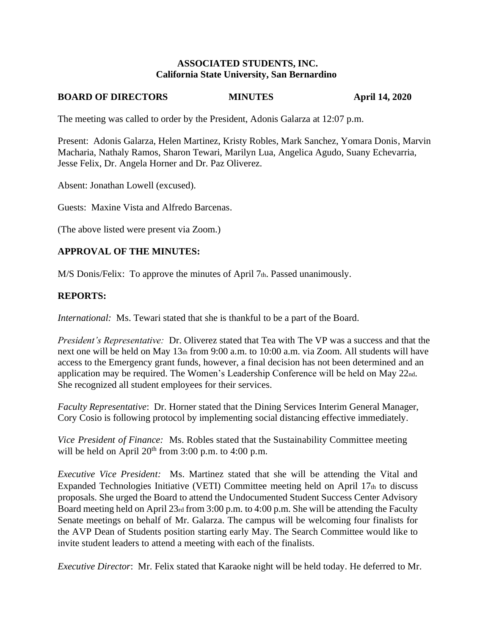#### **ASSOCIATED STUDENTS, INC. California State University, San Bernardino**

## **BOARD OF DIRECTORS MINUTES** April 14, 2020

The meeting was called to order by the President, Adonis Galarza at 12:07 p.m.

Present: Adonis Galarza, Helen Martinez, Kristy Robles, Mark Sanchez, Yomara Donis, Marvin Macharia, Nathaly Ramos, Sharon Tewari, Marilyn Lua, Angelica Agudo, Suany Echevarria, Jesse Felix, Dr. Angela Horner and Dr. Paz Oliverez.

Absent: Jonathan Lowell (excused).

Guests: Maxine Vista and Alfredo Barcenas.

(The above listed were present via Zoom.)

# **APPROVAL OF THE MINUTES:**

M/S Donis/Felix: To approve the minutes of April 7th. Passed unanimously.

### **REPORTS:**

*International:* Ms. Tewari stated that she is thankful to be a part of the Board.

*President's Representative:* Dr. Oliverez stated that Tea with The VP was a success and that the next one will be held on May 13th from 9:00 a.m. to 10:00 a.m. via Zoom. All students will have access to the Emergency grant funds, however, a final decision has not been determined and an application may be required. The Women's Leadership Conference will be held on May 22nd. She recognized all student employees for their services.

*Faculty Representative*: Dr. Horner stated that the Dining Services Interim General Manager, Cory Cosio is following protocol by implementing social distancing effective immediately.

*Vice President of Finance:* Ms. Robles stated that the Sustainability Committee meeting will be held on April  $20^{th}$  from 3:00 p.m. to 4:00 p.m.

*Executive Vice President:* Ms. Martinez stated that she will be attending the Vital and Expanded Technologies Initiative (VETI) Committee meeting held on April 17th to discuss proposals. She urged the Board to attend the Undocumented Student Success Center Advisory Board meeting held on April 23rd from 3:00 p.m. to 4:00 p.m. She will be attending the Faculty Senate meetings on behalf of Mr. Galarza. The campus will be welcoming four finalists for the AVP Dean of Students position starting early May. The Search Committee would like to invite student leaders to attend a meeting with each of the finalists.

*Executive Director*: Mr. Felix stated that Karaoke night will be held today. He deferred to Mr.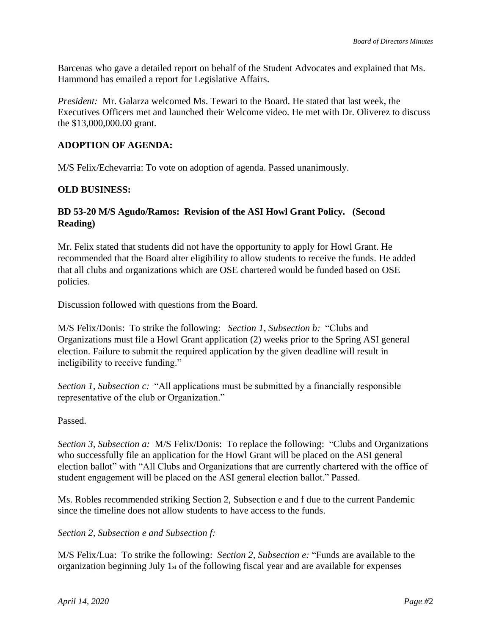Barcenas who gave a detailed report on behalf of the Student Advocates and explained that Ms. Hammond has emailed a report for Legislative Affairs.

*President:* Mr. Galarza welcomed Ms. Tewari to the Board. He stated that last week, the Executives Officers met and launched their Welcome video. He met with Dr. Oliverez to discuss the \$13,000,000.00 grant.

# **ADOPTION OF AGENDA:**

M/S Felix/Echevarria: To vote on adoption of agenda. Passed unanimously.

### **OLD BUSINESS:**

# **BD 53-20 M/S Agudo/Ramos: Revision of the ASI Howl Grant Policy. (Second Reading)**

Mr. Felix stated that students did not have the opportunity to apply for Howl Grant. He recommended that the Board alter eligibility to allow students to receive the funds. He added that all clubs and organizations which are OSE chartered would be funded based on OSE policies.

Discussion followed with questions from the Board.

M/S Felix/Donis: To strike the following: *Section 1, Subsection b:* "Clubs and Organizations must file a Howl Grant application (2) weeks prior to the Spring ASI general election. Failure to submit the required application by the given deadline will result in ineligibility to receive funding."

*Section 1, Subsection c:* "All applications must be submitted by a financially responsible representative of the club or Organization."

#### Passed.

*Section 3, Subsection a:* M/S Felix/Donis: To replace the following: "Clubs and Organizations who successfully file an application for the Howl Grant will be placed on the ASI general election ballot" with "All Clubs and Organizations that are currently chartered with the office of student engagement will be placed on the ASI general election ballot." Passed*.*

Ms. Robles recommended striking Section 2, Subsection e and f due to the current Pandemic since the timeline does not allow students to have access to the funds.

*Section 2, Subsection e and Subsection f:*

M/S Felix/Lua: To strike the following: *Section 2, Subsection e:* "Funds are available to the organization beginning July 1st of the following fiscal year and are available for expenses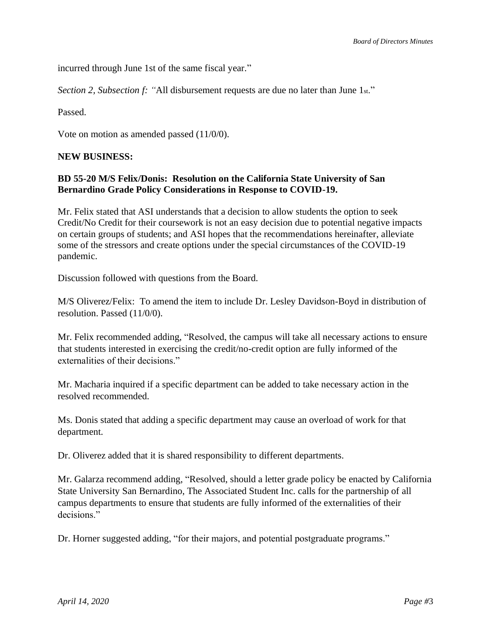incurred through June 1st of the same fiscal year."

*Section 2, Subsection f: "*All disbursement requests are due no later than June 1st."

Passed.

Vote on motion as amended passed (11/0/0).

### **NEW BUSINESS:**

### **BD 55-20 M/S Felix/Donis: Resolution on the California State University of San Bernardino Grade Policy Considerations in Response to COVID-19.**

Mr. Felix stated that ASI understands that a decision to allow students the option to seek Credit/No Credit for their coursework is not an easy decision due to potential negative impacts on certain groups of students; and ASI hopes that the recommendations hereinafter, alleviate some of the stressors and create options under the special circumstances of the COVID-19 pandemic.

Discussion followed with questions from the Board.

M/S Oliverez/Felix: To amend the item to include Dr. Lesley Davidson-Boyd in distribution of resolution. Passed (11/0/0).

Mr. Felix recommended adding, "Resolved, the campus will take all necessary actions to ensure that students interested in exercising the credit/no-credit option are fully informed of the externalities of their decisions."

Mr. Macharia inquired if a specific department can be added to take necessary action in the resolved recommended.

Ms. Donis stated that adding a specific department may cause an overload of work for that department.

Dr. Oliverez added that it is shared responsibility to different departments.

Mr. Galarza recommend adding, "Resolved, should a letter grade policy be enacted by California State University San Bernardino, The Associated Student Inc. calls for the partnership of all campus departments to ensure that students are fully informed of the externalities of their decisions."

Dr. Horner suggested adding, "for their majors, and potential postgraduate programs."